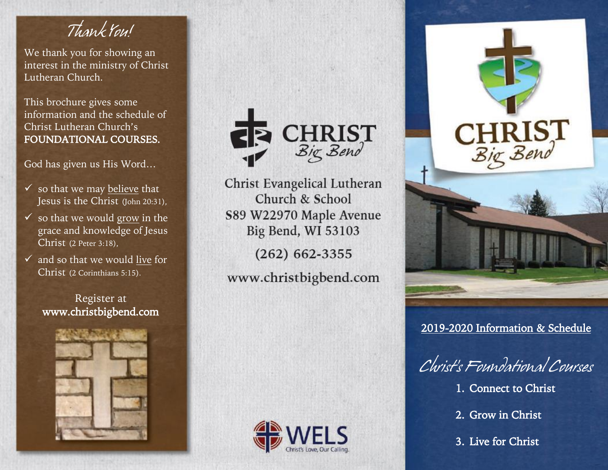*Thank You!*

We thank you for showing an interest in the ministry of Christ Lutheran Church.

This brochure gives some information and the schedule of Christ Lutheran Church's FOUNDATIONAL COURSES.

God has given us His Word…

- $\checkmark$  so that we may believe that Jesus is the Christ (John 20:31),
- $\checkmark$  so that we would grow in the grace and knowledge of Jesus Christ (2 Peter 3:18),
- $\checkmark$  and so that we would live for Christ (2 Corinthians 5:15).

Register at www.christbigbend.com





**Christ Evangelical Lutheran** Church & School S89 W22970 Maple Avenue Big Bend, WI 53103

 $(262)$  662-3355

www.christbigbend.com



2019-2020 Information & Schedule

*Christ's Foundational Courses*

- 1. Connect to Christ
- 2. Grow in Christ
- 3. Live for Christ